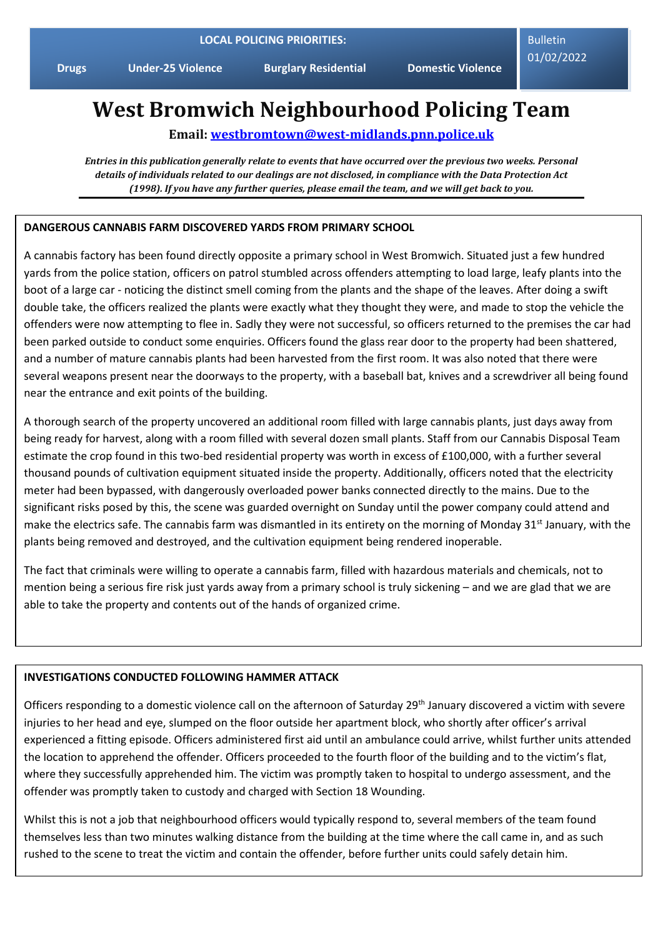**Drugs Under-25 Violence Burglary Residential Domestic Violence**

Bulletin 01/02/2022

# **West Bromwich Neighbourhood Policing Team**

**Email: [westbromtown@west-midlands.pnn.police.uk](mailto:westbromtown@west-midlands.pnn.police.uk)**

*Entries in this publication generally relate to events that have occurred over the previous two weeks. Personal details of individuals related to our dealings are not disclosed, in compliance with the Data Protection Act (1998). If you have any further queries, please email the team, and we will get back to you.*

### **DANGEROUS CANNABIS FARM DISCOVERED YARDS FROM PRIMARY SCHOOL**

A cannabis factory has been found directly opposite a primary school in West Bromwich. Situated just a few hundred yards from the police station, officers on patrol stumbled across offenders attempting to load large, leafy plants into the boot of a large car - noticing the distinct smell coming from the plants and the shape of the leaves. After doing a swift double take, the officers realized the plants were exactly what they thought they were, and made to stop the vehicle the offenders were now attempting to flee in. Sadly they were not successful, so officers returned to the premises the car had been parked outside to conduct some enquiries. Officers found the glass rear door to the property had been shattered, and a number of mature cannabis plants had been harvested from the first room. It was also noted that there were several weapons present near the doorways to the property, with a baseball bat, knives and a screwdriver all being found near the entrance and exit points of the building.

A thorough search of the property uncovered an additional room filled with large cannabis plants, just days away from being ready for harvest, along with a room filled with several dozen small plants. Staff from our Cannabis Disposal Team estimate the crop found in this two-bed residential property was worth in excess of £100,000, with a further several thousand pounds of cultivation equipment situated inside the property. Additionally, officers noted that the electricity meter had been bypassed, with dangerously overloaded power banks connected directly to the mains. Due to the significant risks posed by this, the scene was guarded overnight on Sunday until the power company could attend and make the electrics safe. The cannabis farm was dismantled in its entirety on the morning of Monday 31<sup>st</sup> January, with the plants being removed and destroyed, and the cultivation equipment being rendered inoperable.

The fact that criminals were willing to operate a cannabis farm, filled with hazardous materials and chemicals, not to mention being a serious fire risk just yards away from a primary school is truly sickening – and we are glad that we are able to take the property and contents out of the hands of organized crime.

#### **INVESTIGATIONS CONDUCTED FOLLOWING HAMMER ATTACK**

Officers responding to a domestic violence call on the afternoon of Saturday 29<sup>th</sup> January discovered a victim with severe injuries to her head and eye, slumped on the floor outside her apartment block, who shortly after officer's arrival experienced a fitting episode. Officers administered first aid until an ambulance could arrive, whilst further units attended the location to apprehend the offender. Officers proceeded to the fourth floor of the building and to the victim's flat, where they successfully apprehended him. The victim was promptly taken to hospital to undergo assessment, and the offender was promptly taken to custody and charged with Section 18 Wounding.

Whilst this is not a job that neighbourhood officers would typically respond to, several members of the team found themselves less than two minutes walking distance from the building at the time where the call came in, and as such rushed to the scene to treat the victim and contain the offender, before further units could safely detain him.